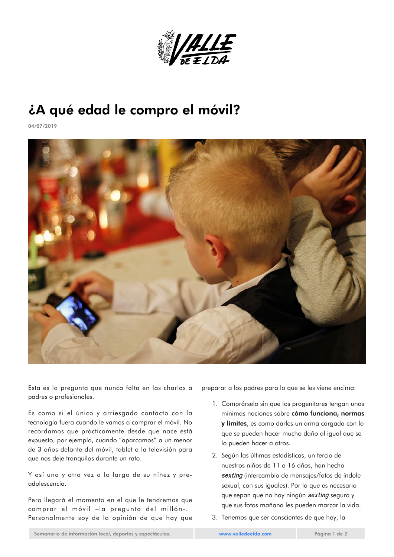

## ¿A qué edad le compro el móvil?

04/07/2019



Esta es la pregunta que nunca falta en las charlas a padres o profesionales.

Es como si el único y arriesgado contacto con la tecnología fuera cuando le vamos a comprar el móvil. No recordamos que prácticamente desde que nace está expuesto, por ejemplo, cuando "aparcamos" a un menor de 3 años delante del móvil, tablet o la televisión para que nos deje tranquilos durante un rato.

Y así una y otra vez a lo largo de su niñez y preadolescencia.

Pero llegará el momento en el que le tendremos que comprar el móvil –la pregunta del millón-. Personalmente soy de la opinión de que hay que

preparar a los padres para lo que se les viene encima:

- 1. Comprárselo sin que los progenitores tengan unas mínimas nociones sobre cómo funciona, normas y límites, es como darles un arma cargada con la que se pueden hacer mucho daño al igual que se lo pueden hacer a otros.
- 2. Según las últimas estadísticas, un tercio de nuestros niños de 11 a 16 años, han hecho *sexting* (intercambio de mensajes/fotos de índole sexual, con sus iguales). Por lo que es necesario que sepan que no hay ningún *sexting* seguro y que sus fotos mañana les pueden marcar la vida.
- 3. Tenemos que ser conscientes de que hoy, la